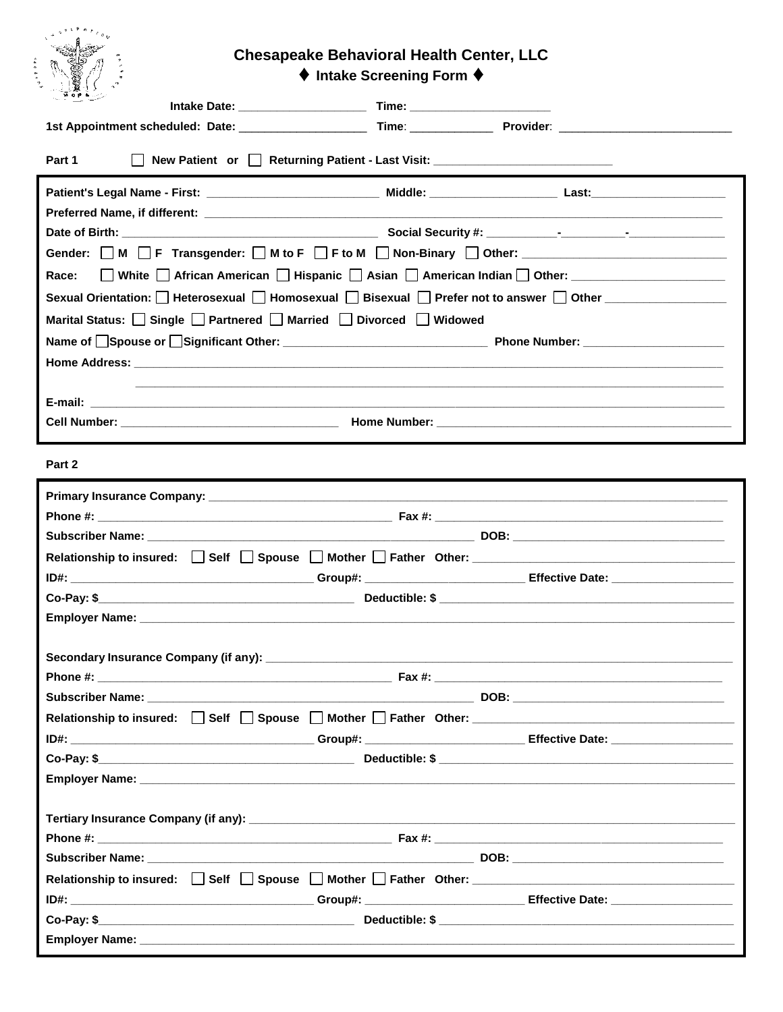## **Chesapeake Behavioral Health Center, LLC**

♦ Intake Screening Form ♦

| $\sim$ More $\sim$                                                                                                                                                                                                             |  |
|--------------------------------------------------------------------------------------------------------------------------------------------------------------------------------------------------------------------------------|--|
| 1st Appointment scheduled: Date: ________________________Time: _________________Provider: ____________________                                                                                                                 |  |
| New Patient or <b>Deturning Patient - Last Visit:</b> ________________________________<br>Part 1                                                                                                                               |  |
|                                                                                                                                                                                                                                |  |
|                                                                                                                                                                                                                                |  |
|                                                                                                                                                                                                                                |  |
|                                                                                                                                                                                                                                |  |
| □ White □ African American □ Hispanic □ Asian □ American Indian □ Other: __________________________<br>Race:                                                                                                                   |  |
| Sexual Orientation: D Heterosexual D Homosexual D Bisexual D Prefer not to answer D Other Conter Commence Conte                                                                                                                |  |
| Marital Status: Single Partnered Married Divorced Widowed                                                                                                                                                                      |  |
|                                                                                                                                                                                                                                |  |
|                                                                                                                                                                                                                                |  |
|                                                                                                                                                                                                                                |  |
|                                                                                                                                                                                                                                |  |
|                                                                                                                                                                                                                                |  |
| Part 2                                                                                                                                                                                                                         |  |
|                                                                                                                                                                                                                                |  |
|                                                                                                                                                                                                                                |  |
|                                                                                                                                                                                                                                |  |
|                                                                                                                                                                                                                                |  |
|                                                                                                                                                                                                                                |  |
|                                                                                                                                                                                                                                |  |
| Employer Name: Note of the contract of the contract of the contract of the contract of the contract of the contract of the contract of the contract of the contract of the contract of the contract of the contract of the con |  |
|                                                                                                                                                                                                                                |  |
|                                                                                                                                                                                                                                |  |
|                                                                                                                                                                                                                                |  |
|                                                                                                                                                                                                                                |  |
|                                                                                                                                                                                                                                |  |
|                                                                                                                                                                                                                                |  |
|                                                                                                                                                                                                                                |  |
|                                                                                                                                                                                                                                |  |
|                                                                                                                                                                                                                                |  |
|                                                                                                                                                                                                                                |  |
|                                                                                                                                                                                                                                |  |
|                                                                                                                                                                                                                                |  |
|                                                                                                                                                                                                                                |  |
|                                                                                                                                                                                                                                |  |
|                                                                                                                                                                                                                                |  |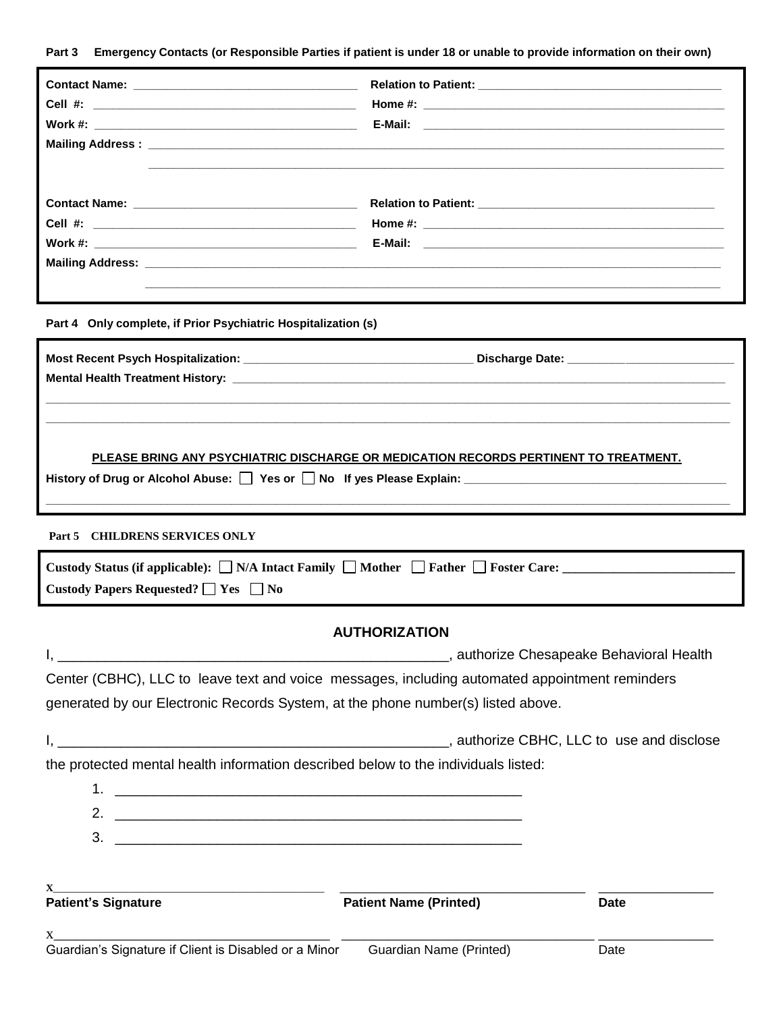**Part 3 Emergency Contacts (or Responsible Parties if patient is under 18 or unable to provide information on their own)**

|                                                                                                                 | ,我们也不会有什么。""我们的人,我们也不会有什么?""我们的人,我们也不会有什么?""我们的人,我们也不会有什么?""我们的人,我们也不会有什么?""我们的人               |  |  |  |  |
|-----------------------------------------------------------------------------------------------------------------|------------------------------------------------------------------------------------------------|--|--|--|--|
|                                                                                                                 |                                                                                                |  |  |  |  |
| Cell $#$ :                                                                                                      |                                                                                                |  |  |  |  |
|                                                                                                                 |                                                                                                |  |  |  |  |
|                                                                                                                 |                                                                                                |  |  |  |  |
|                                                                                                                 |                                                                                                |  |  |  |  |
| Part 4 Only complete, if Prior Psychiatric Hospitalization (s)                                                  |                                                                                                |  |  |  |  |
|                                                                                                                 |                                                                                                |  |  |  |  |
|                                                                                                                 |                                                                                                |  |  |  |  |
|                                                                                                                 |                                                                                                |  |  |  |  |
|                                                                                                                 |                                                                                                |  |  |  |  |
|                                                                                                                 |                                                                                                |  |  |  |  |
|                                                                                                                 | PLEASE BRING ANY PSYCHIATRIC DISCHARGE OR MEDICATION RECORDS PERTINENT TO TREATMENT.           |  |  |  |  |
| History of Drug or Alcohol Abuse: Yes or No If yes Please Explain: Northermann Communication of Drug or Alcohol |                                                                                                |  |  |  |  |
|                                                                                                                 |                                                                                                |  |  |  |  |
| Part 5 CHILDRENS SERVICES ONLY                                                                                  |                                                                                                |  |  |  |  |
|                                                                                                                 |                                                                                                |  |  |  |  |
| Custody Papers Requested? $\Box$ Yes $\Box$ No                                                                  |                                                                                                |  |  |  |  |
|                                                                                                                 |                                                                                                |  |  |  |  |
|                                                                                                                 | <b>AUTHORIZATION</b>                                                                           |  |  |  |  |
|                                                                                                                 |                                                                                                |  |  |  |  |
|                                                                                                                 | Center (CBHC), LLC to leave text and voice messages, including automated appointment reminders |  |  |  |  |
| generated by our Electronic Records System, at the phone number(s) listed above.                                |                                                                                                |  |  |  |  |
|                                                                                                                 |                                                                                                |  |  |  |  |
| the protected mental health information described below to the individuals listed:                              |                                                                                                |  |  |  |  |
|                                                                                                                 |                                                                                                |  |  |  |  |
|                                                                                                                 |                                                                                                |  |  |  |  |
|                                                                                                                 |                                                                                                |  |  |  |  |
|                                                                                                                 |                                                                                                |  |  |  |  |
|                                                                                                                 |                                                                                                |  |  |  |  |

**Patient Name (Printed)** Date

 $x_\_$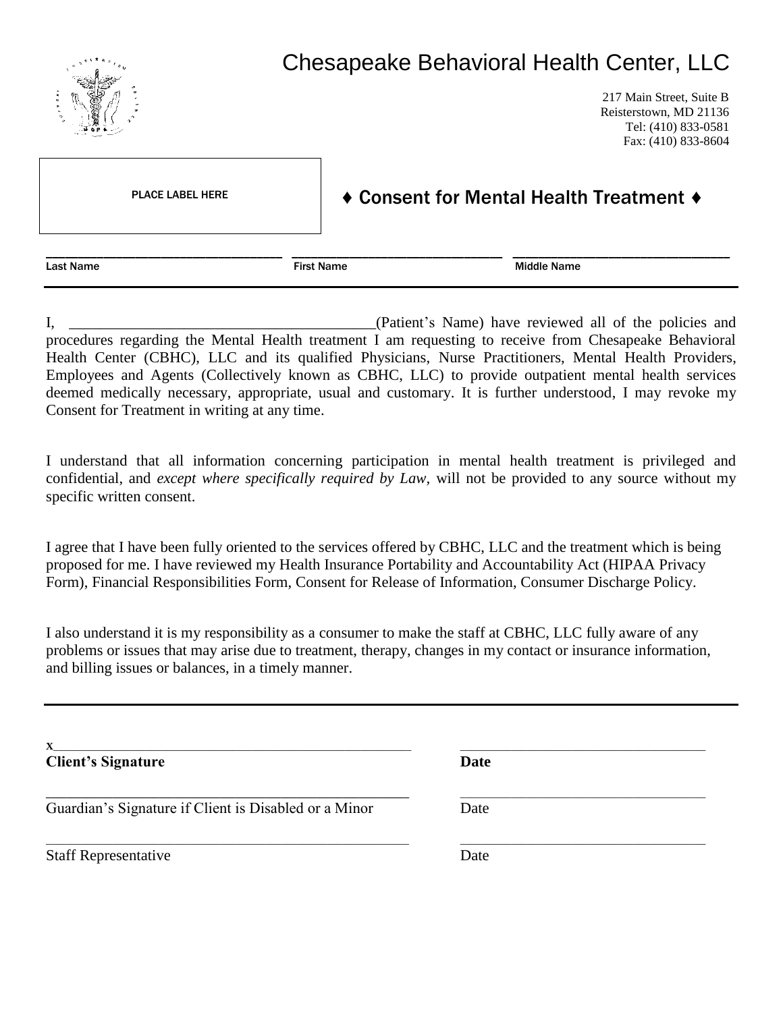

I, \_\_\_\_\_\_\_\_\_\_\_\_\_\_\_\_\_\_\_\_\_\_\_\_\_\_\_\_\_\_\_\_\_\_\_\_\_\_\_\_(Patient's Name) have reviewed all of the policies and procedures regarding the Mental Health treatment I am requesting to receive from Chesapeake Behavioral Health Center (CBHC), LLC and its qualified Physicians, Nurse Practitioners, Mental Health Providers, Employees and Agents (Collectively known as CBHC, LLC) to provide outpatient mental health services deemed medically necessary, appropriate, usual and customary. It is further understood, I may revoke my Consent for Treatment in writing at any time.

I understand that all information concerning participation in mental health treatment is privileged and confidential, and *except where specifically required by Law,* will not be provided to any source without my specific written consent.

I agree that I have been fully oriented to the services offered by CBHC, LLC and the treatment which is being proposed for me. I have reviewed my Health Insurance Portability and Accountability Act (HIPAA Privacy Form), Financial Responsibilities Form, Consent for Release of Information, Consumer Discharge Policy.

I also understand it is my responsibility as a consumer to make the staff at CBHC, LLC fully aware of any problems or issues that may arise due to treatment, therapy, changes in my contact or insurance information, and billing issues or balances, in a timely manner.

**X**\_\_\_\_\_\_\_\_\_\_\_\_\_\_\_\_\_\_\_\_\_\_\_\_\_\_\_\_\_\_\_\_\_\_\_\_\_\_\_\_\_\_\_\_\_\_\_\_\_\_\_\_\_\_\_\_\_\_\_\_\_\_\_\_\_\_\_\_\_\_ \_\_\_\_\_\_\_\_\_\_\_\_\_\_\_\_\_\_\_\_\_\_\_\_\_\_\_\_\_\_\_\_\_\_\_\_\_\_\_\_\_\_\_\_\_\_\_\_ **Client's Signature Date \_\_\_\_\_\_\_\_\_\_\_\_\_\_\_\_\_\_\_\_\_\_\_\_\_\_\_\_\_\_\_\_\_\_\_\_\_\_\_\_\_\_\_\_\_\_\_\_\_\_\_\_\_\_\_\_\_\_\_\_\_\_\_\_\_\_\_\_\_\_\_** \_\_\_\_\_\_\_\_\_\_\_\_\_\_\_\_\_\_\_\_\_\_\_\_\_\_\_\_\_\_\_\_\_\_\_\_\_\_\_\_\_\_\_\_\_\_\_\_ Guardian's Signature if Client is Disabled or a Minor Date \_\_\_\_\_\_\_\_\_\_\_\_\_\_\_\_\_\_\_\_\_\_\_\_\_\_\_\_\_\_\_\_\_\_\_\_\_\_\_\_\_\_\_\_\_\_\_\_\_\_\_\_\_\_\_\_\_\_\_\_\_\_\_\_\_\_\_\_\_\_\_ \_\_\_\_\_\_\_\_\_\_\_\_\_\_\_\_\_\_\_\_\_\_\_\_\_\_\_\_\_\_\_\_\_\_\_\_\_\_\_\_\_\_\_\_\_\_\_\_ Staff Representative Date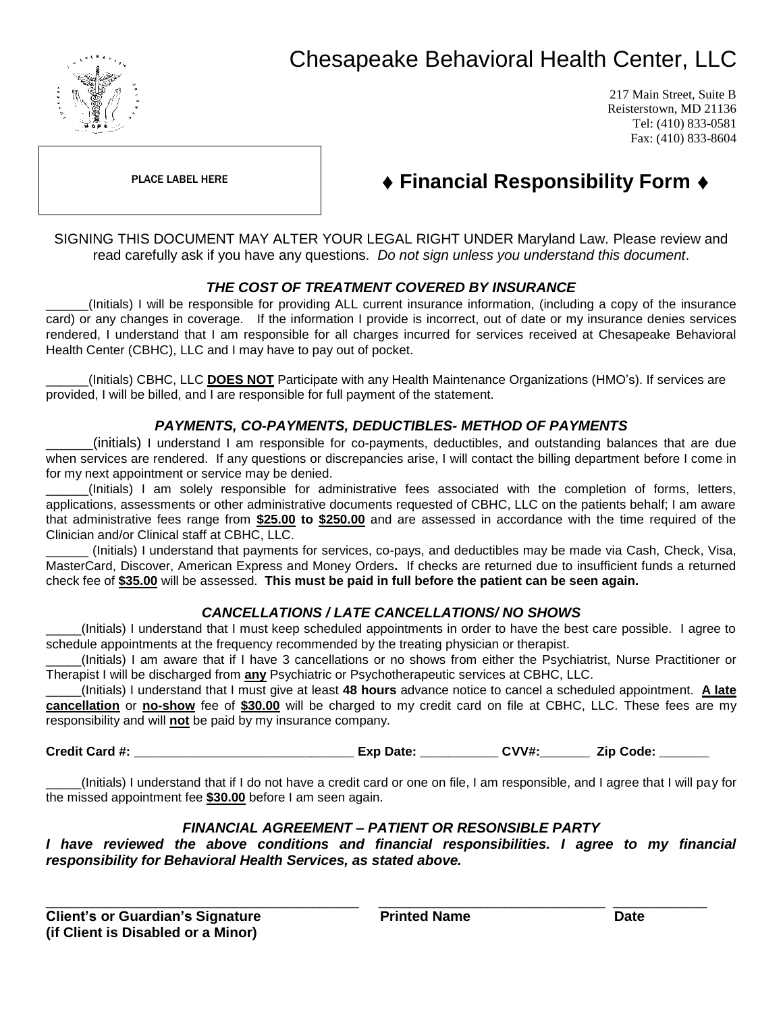

# Chesapeake Behavioral Health Center, LLC

217 Main Street, Suite B Reisterstown, MD 21136 Tel: (410) 833-0581 Fax: (410) 833-8604

PLACE LABEL HERE

## ♦ **Financial Responsibility Form** ♦

SIGNING THIS DOCUMENT MAY ALTER YOUR LEGAL RIGHT UNDER Maryland Law. Please review and read carefully ask if you have any questions. *Do not sign unless you understand this document*.

#### *THE COST OF TREATMENT COVERED BY INSURANCE*

\_\_\_\_\_\_(Initials) I will be responsible for providing ALL current insurance information, (including a copy of the insurance card) or any changes in coverage. If the information I provide is incorrect, out of date or my insurance denies services rendered, I understand that I am responsible for all charges incurred for services received at Chesapeake Behavioral Health Center (CBHC), LLC and I may have to pay out of pocket.

\_\_\_\_\_\_(Initials) CBHC, LLC **DOES NOT** Participate with any Health Maintenance Organizations (HMO's). If services are provided, I will be billed, and I are responsible for full payment of the statement.

### *PAYMENTS, CO-PAYMENTS, DEDUCTIBLES- METHOD OF PAYMENTS*

\_\_\_\_\_\_(initials) I understand I am responsible for co-payments, deductibles, and outstanding balances that are due when services are rendered. If any questions or discrepancies arise, I will contact the billing department before I come in for my next appointment or service may be denied.

\_\_\_\_\_\_(Initials) I am solely responsible for administrative fees associated with the completion of forms, letters, applications, assessments or other administrative documents requested of CBHC, LLC on the patients behalf; I am aware that administrative fees range from **\$25.00 to \$250.00** and are assessed in accordance with the time required of the Clinician and/or Clinical staff at CBHC, LLC.

\_\_\_\_\_\_ (Initials) I understand that payments for services, co-pays, and deductibles may be made via Cash, Check, Visa, MasterCard, Discover, American Express and Money Orders**.** If checks are returned due to insufficient funds a returned check fee of **\$35.00** will be assessed. **This must be paid in full before the patient can be seen again.**

#### *CANCELLATIONS / LATE CANCELLATIONS/ NO SHOWS*

\_\_\_\_\_(Initials) I understand that I must keep scheduled appointments in order to have the best care possible. I agree to schedule appointments at the frequency recommended by the treating physician or therapist.

\_\_\_\_\_(Initials) I am aware that if I have 3 cancellations or no shows from either the Psychiatrist, Nurse Practitioner or Therapist I will be discharged from **any** Psychiatric or Psychotherapeutic services at CBHC, LLC.

\_\_\_\_\_(Initials) I understand that I must give at least **48 hours** advance notice to cancel a scheduled appointment. **A late cancellation** or **no-show** fee of **\$30.00** will be charged to my credit card on file at CBHC, LLC. These fees are my responsibility and will **not** be paid by my insurance company.

**Credit Card #: \_\_\_\_\_\_\_\_\_\_\_\_\_\_\_\_\_\_\_\_\_\_\_\_\_\_\_\_\_\_\_ Exp Date: \_\_\_\_\_\_\_\_\_\_\_ CVV#:\_\_\_\_\_\_\_ Zip Code: \_\_\_\_\_\_\_**

\_\_\_\_\_(Initials) I understand that if I do not have a credit card or one on file, I am responsible, and I agree that I will pay for the missed appointment fee **\$30.00** before I am seen again.

#### *FINANCIAL AGREEMENT – PATIENT OR RESONSIBLE PARTY*

*I* have reviewed the above conditions and financial responsibilities. I agree to my financial *responsibility for Behavioral Health Services, as stated above.*

\_\_\_\_\_\_\_\_\_\_\_\_\_\_\_\_\_\_\_\_\_\_\_\_\_\_\_\_\_\_\_\_\_\_\_\_\_\_\_\_ \_\_\_\_\_\_\_\_\_\_\_\_\_\_\_\_\_\_\_\_\_\_\_\_\_\_\_\_\_ \_\_\_\_\_\_\_\_\_\_\_\_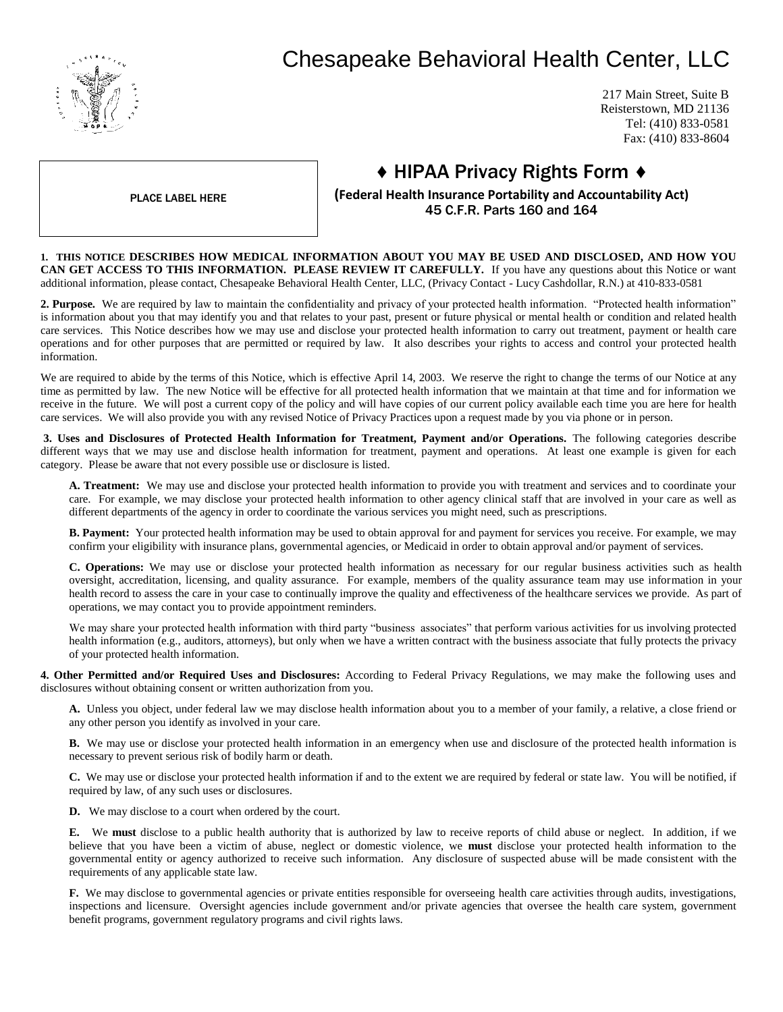

# Chesapeake Behavioral Health Center, LLC

217 Main Street, Suite B Reisterstown, MD 21136 Tel: (410) 833-0581 Fax: (410) 833-8604

## ♦ HIPAA Privacy Rights Form ♦

PLACE LABEL HERE

**(Federal Health Insurance Portability and Accountability Act)** 45 C.F.R. Parts 160 and 164

**1. THIS NOTICE DESCRIBES HOW MEDICAL INFORMATION ABOUT YOU MAY BE USED AND DISCLOSED, AND HOW YOU CAN GET ACCESS TO THIS INFORMATION. PLEASE REVIEW IT CAREFULLY.** If you have any questions about this Notice or want additional information, please contact, Chesapeake Behavioral Health Center, LLC, (Privacy Contact - Lucy Cashdollar, R.N.) at 410-833-0581

**2. Purpose.** We are required by law to maintain the confidentiality and privacy of your protected health information. "Protected health information" is information about you that may identify you and that relates to your past, present or future physical or mental health or condition and related health care services. This Notice describes how we may use and disclose your protected health information to carry out treatment, payment or health care operations and for other purposes that are permitted or required by law. It also describes your rights to access and control your protected health information.

We are required to abide by the terms of this Notice, which is effective April 14, 2003. We reserve the right to change the terms of our Notice at any time as permitted by law. The new Notice will be effective for all protected health information that we maintain at that time and for information we receive in the future. We will post a current copy of the policy and will have copies of our current policy available each time you are here for health care services. We will also provide you with any revised Notice of Privacy Practices upon a request made by you via phone or in person.

**3. Uses and Disclosures of Protected Health Information for Treatment, Payment and/or Operations.** The following categories describe different ways that we may use and disclose health information for treatment, payment and operations. At least one example is given for each category. Please be aware that not every possible use or disclosure is listed.

**A. Treatment:** We may use and disclose your protected health information to provide you with treatment and services and to coordinate your care. For example, we may disclose your protected health information to other agency clinical staff that are involved in your care as well as different departments of the agency in order to coordinate the various services you might need, such as prescriptions.

**B. Payment:** Your protected health information may be used to obtain approval for and payment for services you receive. For example, we may confirm your eligibility with insurance plans, governmental agencies, or Medicaid in order to obtain approval and/or payment of services.

**C. Operations:** We may use or disclose your protected health information as necessary for our regular business activities such as health oversight, accreditation, licensing, and quality assurance. For example, members of the quality assurance team may use information in your health record to assess the care in your case to continually improve the quality and effectiveness of the healthcare services we provide. As part of operations, we may contact you to provide appointment reminders.

We may share your protected health information with third party "business associates" that perform various activities for us involving protected health information (e.g., auditors, attorneys), but only when we have a written contract with the business associate that fully protects the privacy of your protected health information.

**4. Other Permitted and/or Required Uses and Disclosures:** According to Federal Privacy Regulations, we may make the following uses and disclosures without obtaining consent or written authorization from you.

**A.** Unless you object, under federal law we may disclose health information about you to a member of your family, a relative, a close friend or any other person you identify as involved in your care.

**B.** We may use or disclose your protected health information in an emergency when use and disclosure of the protected health information is necessary to prevent serious risk of bodily harm or death.

**C.** We may use or disclose your protected health information if and to the extent we are required by federal or state law. You will be notified, if required by law, of any such uses or disclosures.

**D.** We may disclose to a court when ordered by the court.

**E.** We **must** disclose to a public health authority that is authorized by law to receive reports of child abuse or neglect. In addition, if we believe that you have been a victim of abuse, neglect or domestic violence, we **must** disclose your protected health information to the governmental entity or agency authorized to receive such information. Any disclosure of suspected abuse will be made consistent with the requirements of any applicable state law.

**F.** We may disclose to governmental agencies or private entities responsible for overseeing health care activities through audits, investigations, inspections and licensure. Oversight agencies include government and/or private agencies that oversee the health care system, government benefit programs, government regulatory programs and civil rights laws.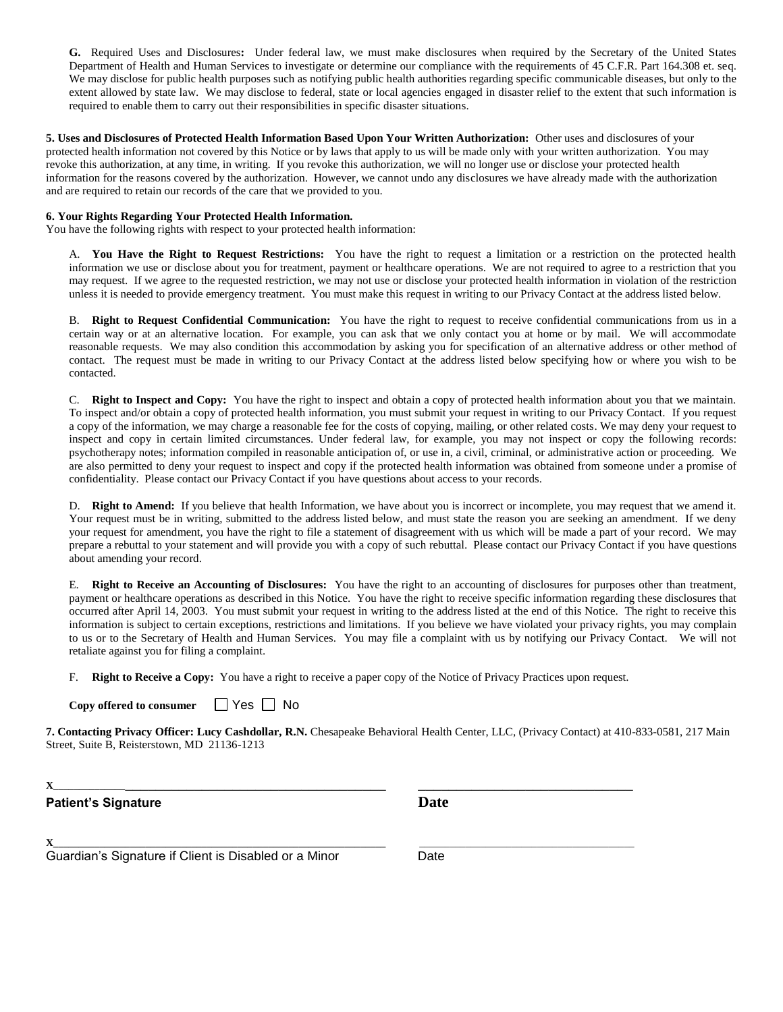**G.** Required Uses and Disclosures**:** Under federal law, we must make disclosures when required by the Secretary of the United States Department of Health and Human Services to investigate or determine our compliance with the requirements of 45 C.F.R. Part 164.308 et. seq. We may disclose for public health purposes such as notifying public health authorities regarding specific communicable diseases, but only to the extent allowed by state law. We may disclose to federal, state or local agencies engaged in disaster relief to the extent that such information is required to enable them to carry out their responsibilities in specific disaster situations.

**5. Uses and Disclosures of Protected Health Information Based Upon Your Written Authorization:** Other uses and disclosures of your protected health information not covered by this Notice or by laws that apply to us will be made only with your written authorization. You may revoke this authorization, at any time, in writing. If you revoke this authorization, we will no longer use or disclose your protected health information for the reasons covered by the authorization. However, we cannot undo any disclosures we have already made with the authorization and are required to retain our records of the care that we provided to you.

#### **6. Your Rights Regarding Your Protected Health Information.**

You have the following rights with respect to your protected health information:

A. **You Have the Right to Request Restrictions:** You have the right to request a limitation or a restriction on the protected health information we use or disclose about you for treatment, payment or healthcare operations. We are not required to agree to a restriction that you may request. If we agree to the requested restriction, we may not use or disclose your protected health information in violation of the restriction unless it is needed to provide emergency treatment. You must make this request in writing to our Privacy Contact at the address listed below.

B. **Right to Request Confidential Communication:** You have the right to request to receive confidential communications from us in a certain way or at an alternative location. For example, you can ask that we only contact you at home or by mail. We will accommodate reasonable requests. We may also condition this accommodation by asking you for specification of an alternative address or other method of contact. The request must be made in writing to our Privacy Contact at the address listed below specifying how or where you wish to be contacted.

C. **Right to Inspect and Copy:** You have the right to inspect and obtain a copy of protected health information about you that we maintain. To inspect and/or obtain a copy of protected health information, you must submit your request in writing to our Privacy Contact. If you request a copy of the information, we may charge a reasonable fee for the costs of copying, mailing, or other related costs. We may deny your request to inspect and copy in certain limited circumstances. Under federal law, for example, you may not inspect or copy the following records: psychotherapy notes; information compiled in reasonable anticipation of, or use in, a civil, criminal, or administrative action or proceeding. We are also permitted to deny your request to inspect and copy if the protected health information was obtained from someone under a promise of confidentiality.Please contact our Privacy Contact if you have questions about access to your records.

D. **Right to Amend:** If you believe that health Information, we have about you is incorrect or incomplete, you may request that we amend it. Your request must be in writing, submitted to the address listed below, and must state the reason you are seeking an amendment. If we deny your request for amendment, you have the right to file a statement of disagreement with us which will be made a part of your record. We may prepare a rebuttal to your statement and will provide you with a copy of such rebuttal. Please contact our Privacy Contact if you have questions about amending your record.

E. **Right to Receive an Accounting of Disclosures:** You have the right to an accounting of disclosures for purposes other than treatment, payment or healthcare operations as described in this Notice. You have the right to receive specific information regarding these disclosures that occurred after April 14, 2003. You must submit your request in writing to the address listed at the end of this Notice. The right to receive this information is subject to certain exceptions, restrictions and limitations. If you believe we have violated your privacy rights, you may complain to us or to the Secretary of Health and Human Services. You may file a complaint with us by notifying our Privacy Contact. We will not retaliate against you for filing a complaint.

F. **Right to Receive a Copy:** You have a right to receive a paper copy of the Notice of Privacy Practices upon request.

| Copy offered to consumer | $\Box$ Yes $\Box$ No |  |
|--------------------------|----------------------|--|
|--------------------------|----------------------|--|

**7. Contacting Privacy Officer: Lucy Cashdollar, R.N.** Chesapeake Behavioral Health Center, LLC, (Privacy Contact) at 410-833-0581, 217 Main Street, Suite B, Reisterstown, MD 21136-1213

**<sup>X</sup>**\_\_\_\_\_\_\_\_\_\_\_\_\_\_\_\_\_\_\_\_\_\_\_\_\_\_\_\_\_\_\_\_\_\_\_\_\_\_\_\_\_\_\_\_\_\_\_\_ \_\_\_\_\_\_\_\_\_\_\_\_\_\_\_\_\_\_\_\_\_\_\_\_\_\_\_\_

**Patient's Signature Date** 

**X\_\_\_\_\_\_\_\_\_\_\_\_\_\_\_\_\_\_\_\_\_\_\_\_\_\_\_\_\_\_\_\_\_\_\_\_\_\_\_\_\_\_\_\_\_\_\_\_\_\_\_\_\_\_\_\_\_\_\_\_\_\_\_\_\_** \_\_\_\_\_\_\_\_\_\_\_\_\_\_\_\_\_\_\_\_\_\_\_\_\_\_\_\_\_\_\_\_\_\_\_\_\_\_\_\_\_\_

Guardian's Signature if Client is Disabled or a Minor Date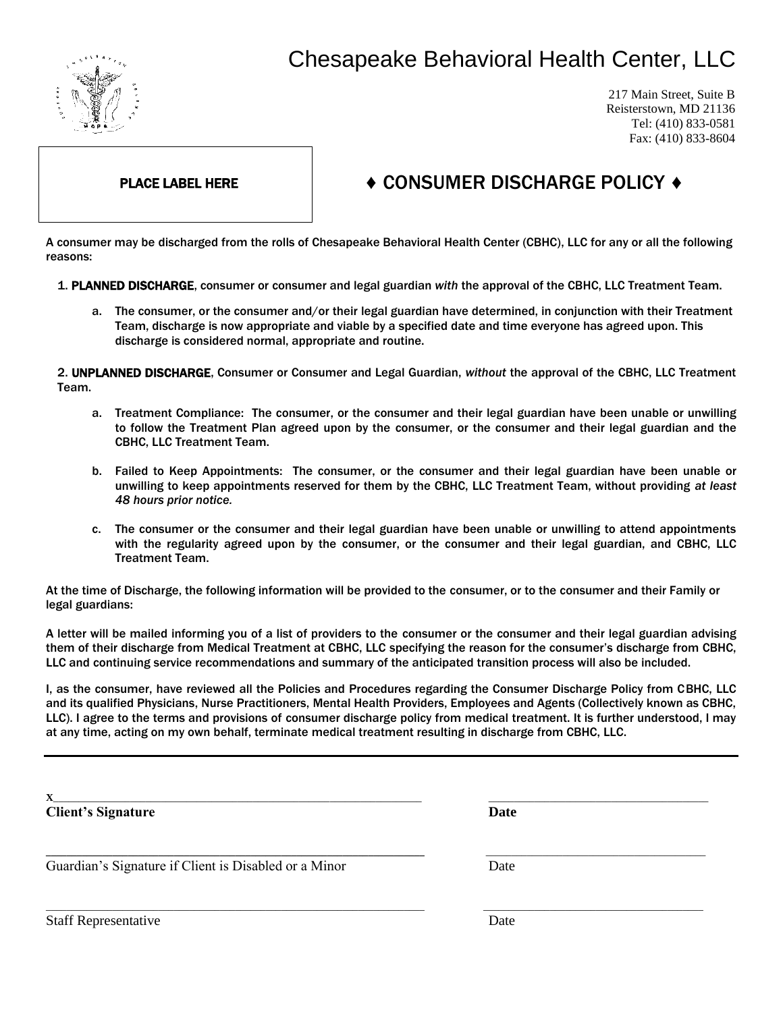

Ι

# Chesapeake Behavioral Health Center, LLC

217 Main Street, Suite B Reisterstown, MD 21136 Tel: (410) 833-0581 Fax: (410) 833-8604

## PLACE LABEL HERE  $\longrightarrow$  CONSUMER DISCHARGE POLICY  $\rightarrow$

A consumer may be discharged from the rolls of Chesapeake Behavioral Health Center (CBHC), LLC for any or all the following reasons:

1. PLANNED DISCHARGE, consumer or consumer and legal guardian *with* the approval of the CBHC, LLC Treatment Team.

a. The consumer, or the consumer and/or their legal guardian have determined, in conjunction with their Treatment Team, discharge is now appropriate and viable by a specified date and time everyone has agreed upon. This discharge is considered normal, appropriate and routine.

2. UNPLANNED DISCHARGE, Consumer or Consumer and Legal Guardian, *without* the approval of the CBHC, LLC Treatment Team.

- a. Treatment Compliance: The consumer, or the consumer and their legal guardian have been unable or unwilling to follow the Treatment Plan agreed upon by the consumer, or the consumer and their legal guardian and the CBHC, LLC Treatment Team.
- b. Failed to Keep Appointments: The consumer, or the consumer and their legal guardian have been unable or unwilling to keep appointments reserved for them by the CBHC, LLC Treatment Team, without providing *at least 48 hours prior notice.*
- c. The consumer or the consumer and their legal guardian have been unable or unwilling to attend appointments with the regularity agreed upon by the consumer, or the consumer and their legal guardian, and CBHC, LLC Treatment Team.

At the time of Discharge, the following information will be provided to the consumer, or to the consumer and their Family or legal guardians:

A letter will be mailed informing you of a list of providers to the consumer or the consumer and their legal guardian advising them of their discharge from Medical Treatment at CBHC, LLC specifying the reason for the consumer's discharge from CBHC, LLC and continuing service recommendations and summary of the anticipated transition process will also be included.

I, as the consumer, have reviewed all the Policies and Procedures regarding the Consumer Discharge Policy from CBHC, LLC and its qualified Physicians, Nurse Practitioners, Mental Health Providers, Employees and Agents (Collectively known as CBHC, LLC). I agree to the terms and provisions of consumer discharge policy from medical treatment. It is further understood, I may at any time, acting on my own behalf, terminate medical treatment resulting in discharge from CBHC, LLC.

| $\mathbf{X}$<br><b>Client's Signature</b>             | <b>Date</b> |  |
|-------------------------------------------------------|-------------|--|
| Guardian's Signature if Client is Disabled or a Minor | Date        |  |
| <b>Staff Representative</b>                           | Date        |  |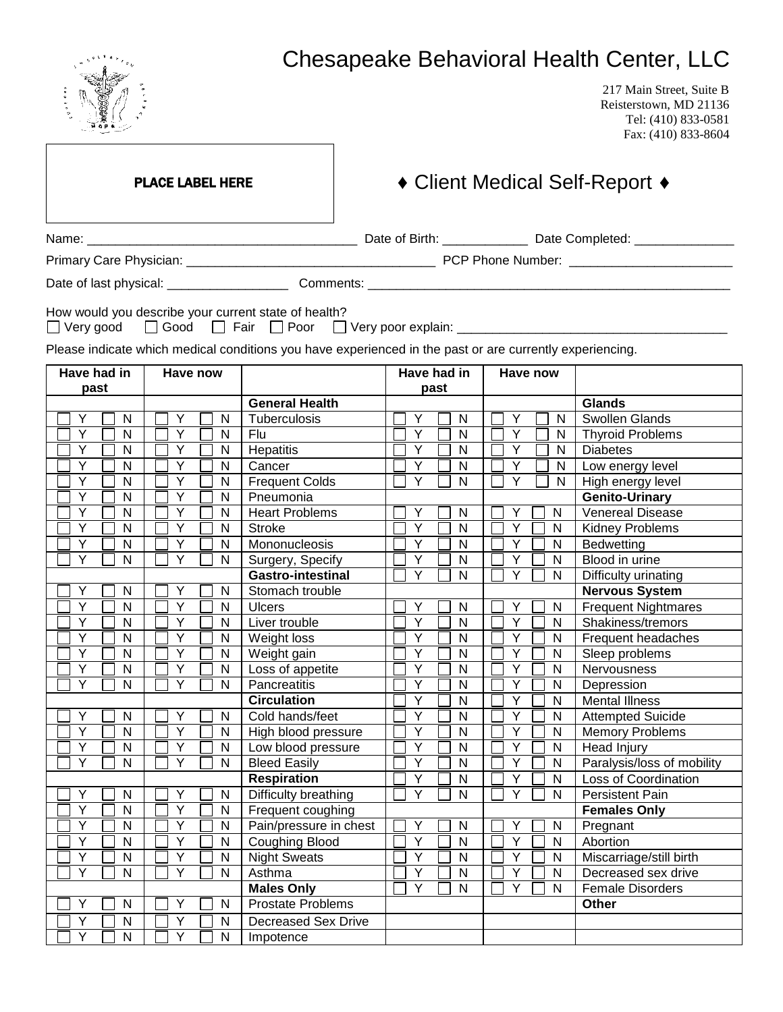|                  | $e^{i\vec{R}R_{\text{in}}\vec{r}}$ |                         |              |                                                                                                                                                                  |  |             |        |                |        |                |              | <b>Chesapeake Behavioral Health Center, LLC</b>                                                  |
|------------------|------------------------------------|-------------------------|--------------|------------------------------------------------------------------------------------------------------------------------------------------------------------------|--|-------------|--------|----------------|--------|----------------|--------------|--------------------------------------------------------------------------------------------------|
|                  |                                    |                         |              |                                                                                                                                                                  |  |             |        |                |        |                |              | 217 Main Street, Suite B<br>Reisterstown, MD 21136<br>Tel: (410) 833-0581<br>Fax: (410) 833-8604 |
|                  |                                    | <b>PLACE LABEL HERE</b> |              |                                                                                                                                                                  |  |             |        |                |        |                |              | ◆ Client Medical Self-Report ◆                                                                   |
|                  |                                    |                         |              |                                                                                                                                                                  |  |             |        |                |        |                |              |                                                                                                  |
|                  |                                    |                         |              |                                                                                                                                                                  |  |             |        |                |        |                |              |                                                                                                  |
|                  |                                    |                         |              |                                                                                                                                                                  |  |             |        |                |        |                |              |                                                                                                  |
|                  |                                    |                         |              |                                                                                                                                                                  |  |             |        |                |        |                |              |                                                                                                  |
| $\Box$ Very good |                                    |                         |              | How would you describe your current state of health?<br>Please indicate which medical conditions you have experienced in the past or are currently experiencing. |  |             |        |                |        |                |              |                                                                                                  |
| Have had in      |                                    | Have now                |              |                                                                                                                                                                  |  | Have had in |        |                |        | Have now       |              |                                                                                                  |
| past             |                                    |                         |              | <b>General Health</b>                                                                                                                                            |  |             | past   |                |        |                |              | <b>Glands</b>                                                                                    |
| Y                | N                                  | Y                       | N            | Tuberculosis                                                                                                                                                     |  | Y           |        | N              |        | Y              | N            | <b>Swollen Glands</b>                                                                            |
| Y                | ${\sf N}$                          | Y                       | N            | Flu                                                                                                                                                              |  | Y           |        | $\mathsf{N}$   |        | Y              | N            | <b>Thyroid Problems</b>                                                                          |
| Y                | N                                  | Y                       | $\mathsf{N}$ | Hepatitis                                                                                                                                                        |  | Y           |        | $\mathsf{N}$   |        | Y              | $\mathsf{N}$ | <b>Diabetes</b>                                                                                  |
| Y                | N                                  | Y                       | N            | Cancer                                                                                                                                                           |  | Y           |        | N              |        | Y              | N            | Low energy level                                                                                 |
| Y                | ${\sf N}$                          | Y                       | N            | <b>Frequent Colds</b>                                                                                                                                            |  | Y           |        | $\mathsf{N}$   |        | Y              | N            | High energy level                                                                                |
| Y                | N                                  | Y                       | N            | Pneumonia                                                                                                                                                        |  |             |        |                |        |                |              | <b>Genito-Urinary</b>                                                                            |
| Υ                | N                                  | Y                       | N            | <b>Heart Problems</b>                                                                                                                                            |  | Υ           |        | N              |        | Y              | N            | <b>Venereal Disease</b>                                                                          |
| Y                | N                                  | Y                       | N            | <b>Stroke</b>                                                                                                                                                    |  | Y           |        | N              |        | Y              | N            | Kidney Problems                                                                                  |
| Y                | N                                  | Y                       | N            | Mononucleosis                                                                                                                                                    |  | Y           |        | N              |        | Y              | N            | Bedwetting                                                                                       |
| Y                | N                                  | Y                       | N            | Surgery, Specify                                                                                                                                                 |  | Y           |        | N              |        | Y              | N            | Blood in urine                                                                                   |
|                  |                                    |                         |              | <b>Gastro-intestinal</b>                                                                                                                                         |  | Y           |        | $\mathsf{N}$   |        | Y              | N            | Difficulty urinating                                                                             |
| Y                | N                                  | Y                       | N            | Stomach trouble                                                                                                                                                  |  |             |        |                |        |                |              | <b>Nervous System</b>                                                                            |
| Y                | ${\sf N}$                          | Y                       | N            | <b>Ulcers</b>                                                                                                                                                    |  | Υ           |        | N              |        | Y              | N            | <b>Frequent Nightmares</b>                                                                       |
| Υ                | $\overline{\mathsf{N}}$            | Y                       | ${\sf N}$    | Liver trouble                                                                                                                                                    |  | Y           | $\Box$ | $\overline{N}$ | $\Box$ | Y              | ${\sf N}$    | Shakiness/tremors                                                                                |
| Y                | N                                  | Y                       | N            | Weight loss                                                                                                                                                      |  | Y           |        | N              |        | Y              | ${\sf N}$    | Frequent headaches                                                                               |
| Υ                | N                                  | Y                       | N            | Weight gain                                                                                                                                                      |  | Υ           |        | N              |        | Y              | N            | Sleep problems                                                                                   |
| Y                | N                                  | $\overline{Y}$          | N            | Loss of appetite                                                                                                                                                 |  | Y           |        | $\mathsf{N}$   |        | $\overline{Y}$ | N            | Nervousness                                                                                      |
| Υ                | N                                  | Y                       | N            | Pancreatitis                                                                                                                                                     |  | Y           |        | N              |        | Y              | N            | Depression                                                                                       |
|                  |                                    |                         |              | <b>Circulation</b>                                                                                                                                               |  | Υ           |        | $\mathsf{N}$   |        | Y              | N            | <b>Mental Illness</b>                                                                            |
| Y                | N                                  | Υ                       | N            | Cold hands/feet                                                                                                                                                  |  | Y           |        | N              |        | Y              | N            | <b>Attempted Suicide</b>                                                                         |
| $\overline{Y}$   | N                                  | $\overline{Y}$          | N            | High blood pressure                                                                                                                                              |  | Υ           |        | $\mathsf{N}$   |        | Y              | $\mathsf{N}$ | <b>Memory Problems</b>                                                                           |
| Υ                | N                                  | $\overline{Y}$          | N            | Low blood pressure                                                                                                                                               |  | Y           |        | N              |        | Υ              | N            | <b>Head Injury</b>                                                                               |
| Ý                | N                                  | Ý                       | N            | <b>Bleed Easily</b>                                                                                                                                              |  | Y           |        | N              |        | Y              | $\mathsf{N}$ | Paralysis/loss of mobility                                                                       |
|                  |                                    |                         |              | <b>Respiration</b>                                                                                                                                               |  | Y           |        | ${\sf N}$      |        | Y              | $\mathsf{N}$ | Loss of Coordination                                                                             |
| Y                | N                                  | Y                       | N            | Difficulty breathing                                                                                                                                             |  | Y           |        | $\mathsf{N}$   |        | Y              | $\mathsf{N}$ | Persistent Pain                                                                                  |
| Y                | N                                  | $\overline{Y}$          | N            | Frequent coughing                                                                                                                                                |  |             |        |                |        |                |              | <b>Females Only</b>                                                                              |
| Υ                | N                                  | Y                       | N            | Pain/pressure in chest                                                                                                                                           |  | Υ           |        | N              |        | Υ              | ${\sf N}$    | Pregnant                                                                                         |
| Υ                | N                                  | Y                       | N            | <b>Coughing Blood</b>                                                                                                                                            |  | Υ           |        | ${\sf N}$      |        | Y              | ${\sf N}$    | Abortion                                                                                         |
| Υ                | N                                  | Y                       | N            | <b>Night Sweats</b>                                                                                                                                              |  | Y           |        | N              |        | Y              | ${\sf N}$    | Miscarriage/still birth                                                                          |
| Υ                | ${\sf N}$                          | Y                       | N            | Asthma                                                                                                                                                           |  | Υ           |        | N              |        | Y              | ${\sf N}$    | Decreased sex drive                                                                              |
|                  |                                    |                         |              | <b>Males Only</b>                                                                                                                                                |  | Υ           |        | N              |        | Υ              | N            | Female Disorders                                                                                 |
| Υ                | N                                  | Y                       | ${\sf N}$    | Prostate Problems                                                                                                                                                |  |             |        |                |        |                |              | Other                                                                                            |

Y <u>N N Y N Decreased Sex Drive</u><br>Y N N N Y N Impotence

Y □ N | □ Y □ N | Impotence

## Chesapeake Behavioral Health Center, LLC